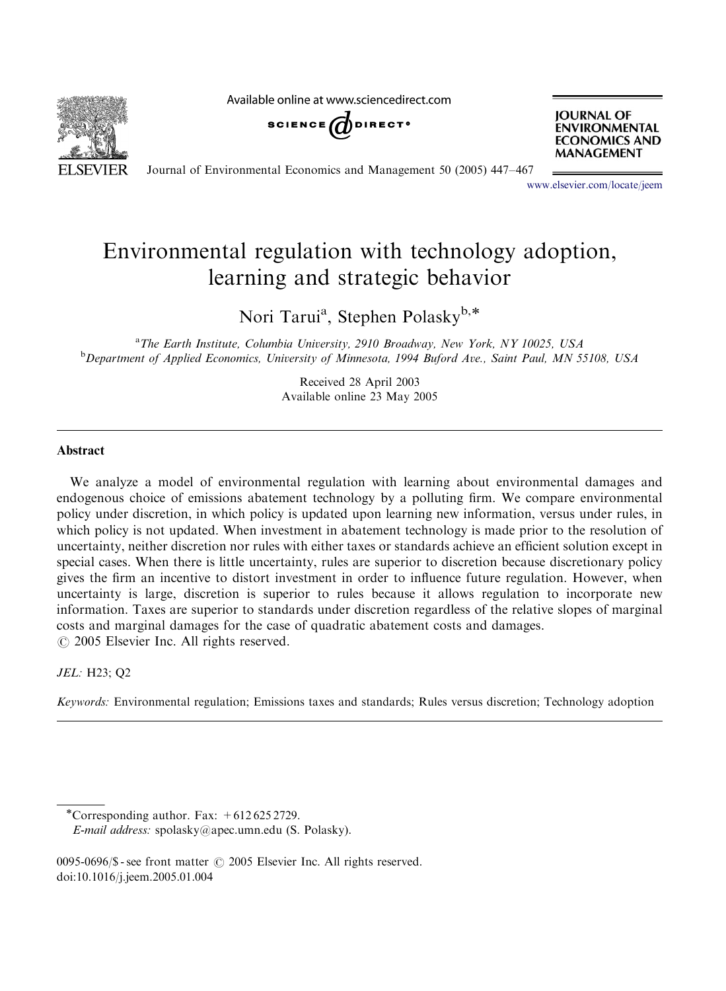**SEVIER** 

Available online at www.sciencedirect.com





Journal of Environmental Economics and Management 50 (2005) 447–467

<www.elsevier.com/locate/jeem>

## Environmental regulation with technology adoption, learning and strategic behavior

Nori Tarui<sup>a</sup>, Stephen Polaskyb,\*

<sup>a</sup> The Earth Institute, Columbia University, 2910 Broadway, New York, NY 10025, USA<br><sup>b</sup> Department of Applied Economics, University of Minnesota, 1994 Buford Ave., Saint Paul, MN 5 <sup>b</sup>Department of Applied Economics, University of Minnesota, 1994 Buford Ave., Saint Paul, MN 55108, USA

> Received 28 April 2003 Available online 23 May 2005

### Abstract

We analyze a model of environmental regulation with learning about environmental damages and endogenous choice of emissions abatement technology by a polluting firm. We compare environmental policy under discretion, in which policy is updated upon learning new information, versus under rules, in which policy is not updated. When investment in abatement technology is made prior to the resolution of uncertainty, neither discretion nor rules with either taxes or standards achieve an efficient solution except in special cases. When there is little uncertainty, rules are superior to discretion because discretionary policy gives the firm an incentive to distort investment in order to influence future regulation. However, when uncertainty is large, discretion is superior to rules because it allows regulation to incorporate new information. Taxes are superior to standards under discretion regardless of the relative slopes of marginal costs and marginal damages for the case of quadratic abatement costs and damages.  $\odot$  2005 Elsevier Inc. All rights reserved.

#### JEL: H23; Q2

Keywords: Environmental regulation; Emissions taxes and standards; Rules versus discretion; Technology adoption

<sup>\*</sup>Corresponding author. Fax:  $+6126252729$ .

E-mail address: spolasky@apec.umn.edu (S. Polasky).

<sup>0095-0696/\$ -</sup> see front matter  $\odot$  2005 Elsevier Inc. All rights reserved. doi:10.1016/j.jeem.2005.01.004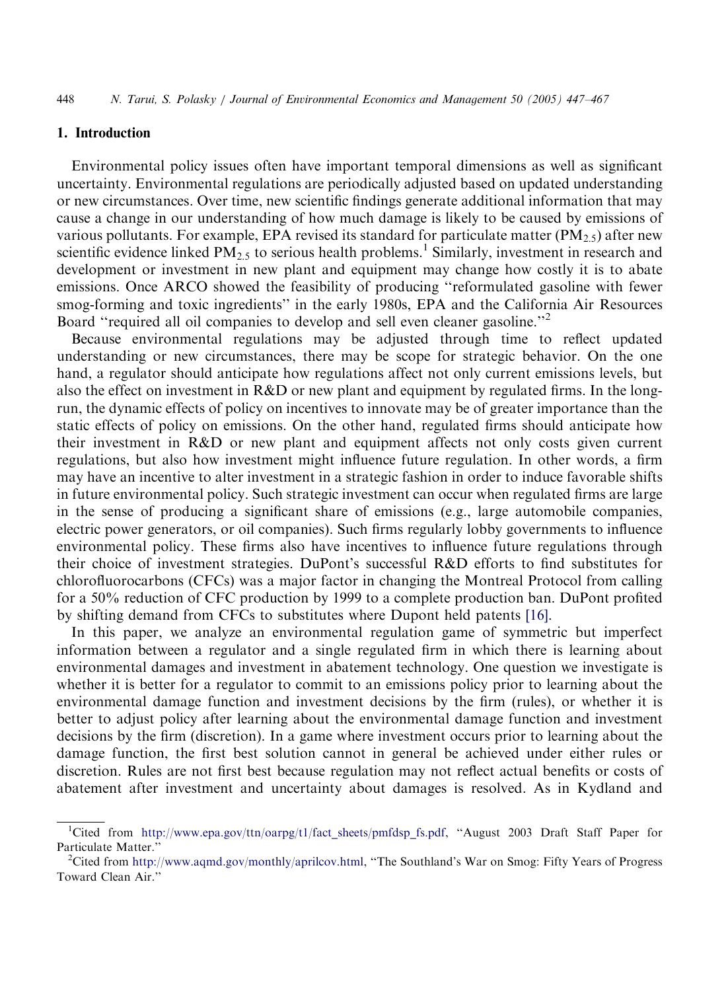## 1. Introduction

Environmental policy issues often have important temporal dimensions as well as significant uncertainty. Environmental regulations are periodically adjusted based on updated understanding or new circumstances. Over time, new scientific findings generate additional information that may cause a change in our understanding of how much damage is likely to be caused by emissions of various pollutants. For example, EPA revised its standard for particulate matter  $(PM_2,5)$  after new scientific evidence linked  $PM_{2.5}$  to serious health problems.<sup>1</sup> Similarly, investment in research and development or investment in new plant and equipment may change how costly it is to abate emissions. Once ARCO showed the feasibility of producing ''reformulated gasoline with fewer smog-forming and toxic ingredients'' in the early 1980s, EPA and the California Air Resources Board "required all oil companies to develop and sell even cleaner gasoline."<sup>2</sup>

Because environmental regulations may be adjusted through time to reflect updated understanding or new circumstances, there may be scope for strategic behavior. On the one hand, a regulator should anticipate how regulations affect not only current emissions levels, but also the effect on investment in R&D or new plant and equipment by regulated firms. In the longrun, the dynamic effects of policy on incentives to innovate may be of greater importance than the static effects of policy on emissions. On the other hand, regulated firms should anticipate how their investment in R&D or new plant and equipment affects not only costs given current regulations, but also how investment might influence future regulation. In other words, a firm may have an incentive to alter investment in a strategic fashion in order to induce favorable shifts in future environmental policy. Such strategic investment can occur when regulated firms are large in the sense of producing a significant share of emissions (e.g., large automobile companies, electric power generators, or oil companies). Such firms regularly lobby governments to influence environmental policy. These firms also have incentives to influence future regulations through their choice of investment strategies. DuPont's successful R&D efforts to find substitutes for chlorofluorocarbons (CFCs) was a major factor in changing the Montreal Protocol from calling for a 50% reduction of CFC production by 1999 to a complete production ban. DuPont profited by shifting demand from CFCs to substitutes where Dupont held patents [\[16\]](#page--1-0).

In this paper, we analyze an environmental regulation game of symmetric but imperfect information between a regulator and a single regulated firm in which there is learning about environmental damages and investment in abatement technology. One question we investigate is whether it is better for a regulator to commit to an emissions policy prior to learning about the environmental damage function and investment decisions by the firm (rules), or whether it is better to adjust policy after learning about the environmental damage function and investment decisions by the firm (discretion). In a game where investment occurs prior to learning about the damage function, the first best solution cannot in general be achieved under either rules or discretion. Rules are not first best because regulation may not reflect actual benefits or costs of abatement after investment and uncertainty about damages is resolved. As in Kydland and

<sup>&</sup>lt;sup>1</sup>Cited from [http://www.epa.gov/ttn/oarpg/t1/fact\\_sheets/pmfdsp\\_fs.pdf,](http://www.epa.gov/ttn/oarpg/t1/fact_sheets/pmfdsp_fs.pdf) "August 2003 Draft Staff Paper for Particulate Matter.'

<sup>&</sup>lt;sup>2</sup>Cited from [http://www.aqmd.gov/monthly/aprilcov.html,](http://www.aqmd.gov/monthly/aprilcov.html) "The Southland's War on Smog: Fifty Years of Progress Toward Clean Air.''